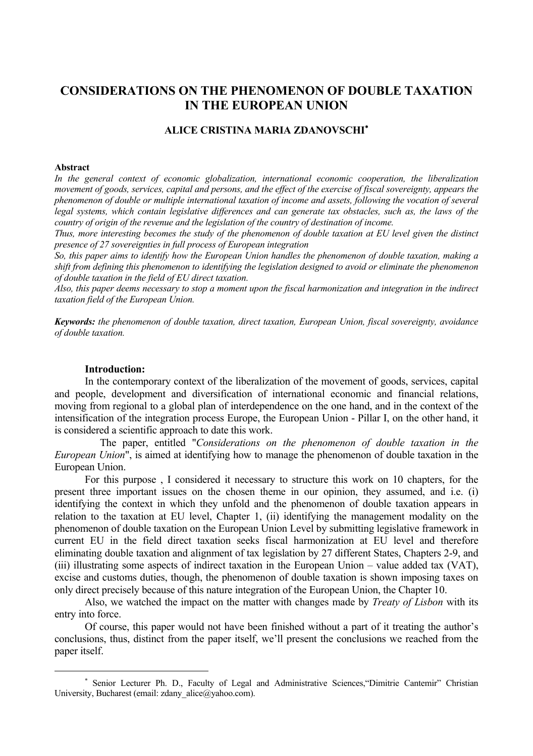# **CONSIDERATIONS ON THE PHENOMENON OF DOUBLE TAXATION IN THE EUROPEAN UNION**

## **ALICE CRISTINA MARIA ZDANOVSCHI**<sup>∗</sup>

#### **Abstract**

 $\overline{a}$ 

*In the general context of economic globalization, international economic cooperation, the liberalization movement of goods, services, capital and persons, and the effect of the exercise of fiscal sovereignty, appears the phenomenon of double or multiple international taxation of income and assets, following the vocation of several legal systems, which contain legislative differences and can generate tax obstacles, such as, the laws of the country of origin of the revenue and the legislation of the country of destination of income.* 

*Thus, more interesting becomes the study of the phenomenon of double taxation at EU level given the distinct presence of 27 sovereignties in full process of European integration* 

*So, this paper aims to identify how the European Union handles the phenomenon of double taxation, making a shift from defining this phenomenon to identifying the legislation designed to avoid or eliminate the phenomenon of double taxation in the field of EU direct taxation.* 

*Also, this paper deems necessary to stop a moment upon the fiscal harmonization and integration in the indirect taxation field of the European Union.* 

*Keywords: the phenomenon of double taxation, direct taxation, European Union, fiscal sovereignty, avoidance of double taxation.* 

#### **Introduction:**

In the contemporary context of the liberalization of the movement of goods, services, capital and people, development and diversification of international economic and financial relations, moving from regional to a global plan of interdependence on the one hand, and in the context of the intensification of the integration process Europe, the European Union - Pillar I, on the other hand, it is considered a scientific approach to date this work.

 The paper, entitled "*Considerations on the phenomenon of double taxation in the European Union*", is aimed at identifying how to manage the phenomenon of double taxation in the European Union.

For this purpose , I considered it necessary to structure this work on 10 chapters, for the present three important issues on the chosen theme in our opinion, they assumed, and i.e. (i) identifying the context in which they unfold and the phenomenon of double taxation appears in relation to the taxation at EU level, Chapter 1, (ii) identifying the management modality on the phenomenon of double taxation on the European Union Level by submitting legislative framework in current EU in the field direct taxation seeks fiscal harmonization at EU level and therefore eliminating double taxation and alignment of tax legislation by 27 different States, Chapters 2-9, and (iii) illustrating some aspects of indirect taxation in the European Union – value added tax (VAT), excise and customs duties, though, the phenomenon of double taxation is shown imposing taxes on only direct precisely because of this nature integration of the European Union, the Chapter 10.

Also, we watched the impact on the matter with changes made by *Treaty of Lisbon* with its entry into force.

Of course, this paper would not have been finished without a part of it treating the author's conclusions, thus, distinct from the paper itself, we'll present the conclusions we reached from the paper itself.

<sup>∗</sup> Senior Lecturer Ph. D., Faculty of Legal and Administrative Sciences,"Dimitrie Cantemir" Christian University, Bucharest (email: zdany\_alice@yahoo.com).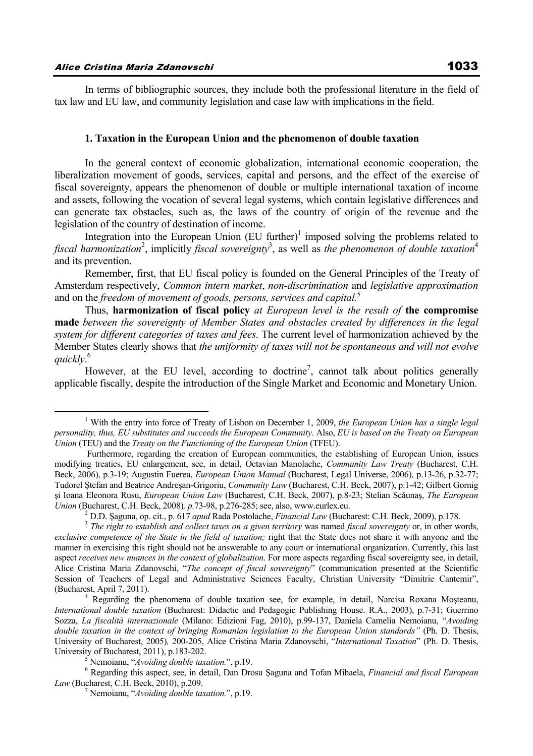In terms of bibliographic sources, they include both the professional literature in the field of tax law and EU law, and community legislation and case law with implications in the field.

#### **1. Taxation in the European Union and the phenomenon of double taxation**

In the general context of economic globalization, international economic cooperation, the liberalization movement of goods, services, capital and persons, and the effect of the exercise of fiscal sovereignty, appears the phenomenon of double or multiple international taxation of income and assets, following the vocation of several legal systems, which contain legislative differences and can generate tax obstacles, such as, the laws of the country of origin of the revenue and the legislation of the country of destination of income.

Integration into the European Union  $(EU$  further)<sup>1</sup> imposed solving the problems related to fiscal harmonization<sup>2</sup>, implicitly fiscal sovereignty<sup>3</sup>, as well as the phenomenon of double taxation<sup>4</sup> and its prevention.

Remember, first, that EU fiscal policy is founded on the General Principles of the Treaty of Amsterdam respectively, *Common intern market*, *non-discrimination* and *legislative approximation*  and on the *freedom of movement of goods, persons, services and capital.*<sup>5</sup>

Thus, **harmonization of fiscal policy** *at European level is the result of* **the compromise made** *between the sovereignty of Member States and obstacles created by differences in the legal system for different categories of taxes and fees*. The current level of harmonization achieved by the Member States clearly shows that *the uniformity of taxes will not be spontaneous and will not evolve quickly*. 6

However, at the EU level, according to doctrine<sup>7</sup>, cannot talk about politics generally applicable fiscally, despite the introduction of the Single Market and Economic and Monetary Union.

 $\frac{1}{1}$  With the entry into force of Treaty of Lisbon on December 1, 2009, *the European Union has a single legal personality, thus, EU substitutes and succeeds the European Community*. Also, *EU is based on the Treaty on European Union* (TEU) and the *Treaty on the Functioning of the European Union* (TFEU).

Furthermore, regarding the creation of European communities, the establishing of European Union, issues modifying treaties, EU enlargement, see, in detail, Octavian Manolache, *Community Law Treaty* (Bucharest, C.H. Beck, 2006), p.3-19; Augustin Fuerea, *European Union Manual* (Bucharest, Legal Universe, 2006), p.13-26, p.32-77; Tudorel Ştefan and Beatrice Andreşan-Grigoriu, *Community Law* (Bucharest, C.H. Beck, 2007), p.1-42; Gilbert Gornig şi Ioana Eleonora Rusu, *European Union Law* (Bucharest, C.H. Beck, 2007), p.8-23; Stelian Scǎunaş, *The European Union* (Bucharest, C.H. Beck, 2008)*, p.*73-98, p.276-285; see, also, www.eurlex.eu.<br><sup>2</sup> D.D. Saguna, op. cit., p. 617 *apud* Rada Postolache, *Financial Law* (Bucharest: C.H. Beck, 2009), p.178.

 $3$  The right to establish and collect taxes on a given territory was named fiscal sovereignty or, in other words, *exclusive competence of the State in the field of taxation;* right that the State does not share it with anyone and the manner in exercising this right should not be answerable to any court or international organization. Currently, this last aspect *receives new nuances in the context of globalization*. For more aspects regarding fiscal sovereignty see, in detail, Alice Cristina Maria Zdanovschi, "*The concept of fiscal sovereignty*" (communication presented at the Scientific Session of Teachers of Legal and Administrative Sciences Faculty, Christian University "Dimitrie Cantemir", (Bucharest, April 7, 2011). 4

<sup>&</sup>lt;sup>4</sup> Regarding the phenomena of double taxation see, for example, in detail, Narcisa Roxana Moșteanu, *International double taxation* (Bucharest: Didactic and Pedagogic Publishing House. R.A., 2003), p.7-31; Guerrino Sozza, *La fiscalità internazionale* (Milano: Edizioni Fag, 2010), p.99-137, Daniela Camelia Nemoianu, "*Avoiding double taxation in the context of bringing Romanian legislation to the European Union standards"* (Ph. D. Thesis, University of Bucharest, 2005)*,* 200-205, Alice Cristina Maria Zdanovschi, "*International Taxation*" (Ph. D. Thesis, University of Bucharest, 2011), p.183-202.

<sup>&</sup>lt;sup>5</sup> Nemoianu, "*Avoiding double taxation*.", p.19.

Regarding this aspect, see, in detail, Dan Drosu Şaguna and Tofan Mihaela, *Financial and fiscal European Law* (Bucharest, C.H. Beck, 2010), p.209.

Nemoianu, "*Avoiding double taxation.*", p.19.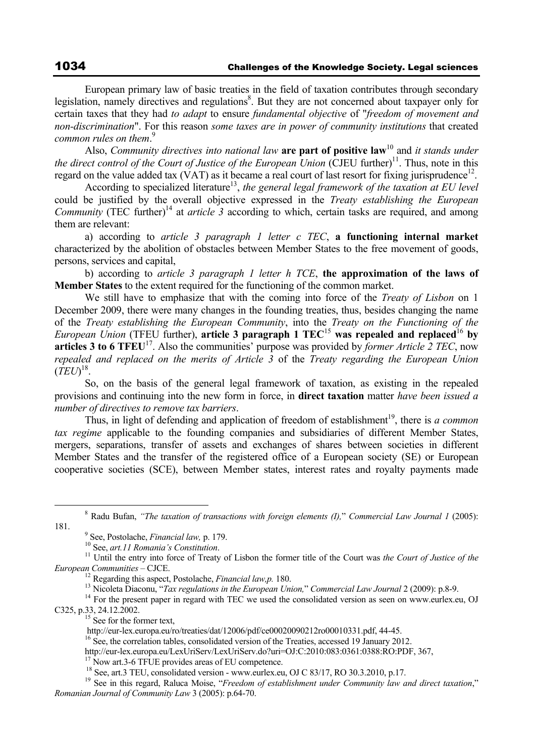European primary law of basic treaties in the field of taxation contributes through secondary legislation, namely directives and regulations<sup>8</sup>. But they are not concerned about taxpayer only for certain taxes that they had *to adapt* to ensure *fundamental objective* of "*freedom of movement and non-discrimination*". For this reason *some taxes are in power of community institutions* that created *common rules on them*. 9

Also, *Community directives into national law* **are part of positive law**<sup>10</sup> and *it stands under the direct control of the Court of Justice of the European Union* (CJEU further)<sup>11</sup>. Thus, note in this regard on the value added tax (VAT) as it became a real court of last resort for fixing jurisprudence<sup>12</sup>.

According to specialized literature<sup>13</sup>, *the general legal framework of the taxation at EU level* could be justified by the overall objective expressed in the *Treaty establishing the European Community* (TEC further)<sup>14</sup> at *article 3* according to which, certain tasks are required, and among them are relevant:

a) according to *article 3 paragraph 1 letter c TEC*, **a functioning internal market** characterized by the abolition of obstacles between Member States to the free movement of goods, persons, services and capital,

b) according to *article 3 paragraph 1 letter h TCE*, **the approximation of the laws of Member States** to the extent required for the functioning of the common market.

We still have to emphasize that with the coming into force of the *Treaty of Lisbon* on 1 December 2009, there were many changes in the founding treaties, thus, besides changing the name of the *Treaty establishing the European Community*, into the *Treaty on the Functioning of the European Union* (TFEU further), **article 3 paragraph 1 TEC**<sup>15</sup> **was repealed and replaced**<sup>16</sup> **by articles 3 to 6 TFEU<sup>17</sup>.** Also the communities' purpose was provided by *former Article 2 TEC*, now *repealed and replaced on the merits of Article 3* of the *Treaty regarding the European Union*  $(\dot{TE}U)^{18}$ .

So, on the basis of the general legal framework of taxation, as existing in the repealed provisions and continuing into the new form in force, in **direct taxation** matter *have been issued a number of directives to remove tax barriers*.

Thus, in light of defending and application of freedom of establishment<sup>19</sup>, there is *a common tax regime* applicable to the founding companies and subsidiaries of different Member States, mergers, separations, transfer of assets and exchanges of shares between societies in different Member States and the transfer of the registered office of a European society (SE) or European cooperative societies (SCE), between Member states, interest rates and royalty payments made

 8 Radu Bufan, *"The taxation of transactions with foreign elements (I),*" *Commercial Law Journal 1* (2005):

<sup>12</sup> Regarding this aspect, Postolache, *Financial law.p.* 180.<br><sup>13</sup> Nicoleta Diaconu, "*Tax regulations in the European Union*," *Commercial Law Journal* 2 (2009): p.8-9.<br><sup>14</sup> For the present paper in regard with TEC we C325, p.33, 24.12.2002.<br>
<sup>15</sup> See for the former text,<br>
http://eur-lex.europa.eu/ro/treaties/dat/12006/pdf/ce00020090212ro00010331.pdf, 44-45.

<sup>181. &</sup>lt;br><sup>9</sup> See, Postolache, *Financial law*, p. 179.

<sup>&</sup>lt;sup>10</sup> See, *art.11 Romania's Constitution*.<br><sup>11</sup> Until the entry into force of Treaty of Lisbon the former title of the Court was *the Court of Justice of the European Communities* – CJCE.

 $h<sup>16</sup>$  See, the correlation tables, consolidated version of the Treaties, accessed 19 January 2012.

http://eur-lex.europa.eu/LexUriServ/LexUriServ.do?uri=OJ:C:2010:083:0361:0388:RO:PDF, 367,<br><sup>17</sup> Now art.3-6 TFUE provides areas of EU competence.<br><sup>18</sup> See, art.3 TEU, consolidated version - www.eurlex.eu, OJ C 83/17, RO 30

<sup>&</sup>lt;sup>19</sup> See in this regard, Raluca Moise, "*Freedom of establishment under Community law and direct taxation*," *Romanian Journal of Community Law* 3 (2005): p.64-70.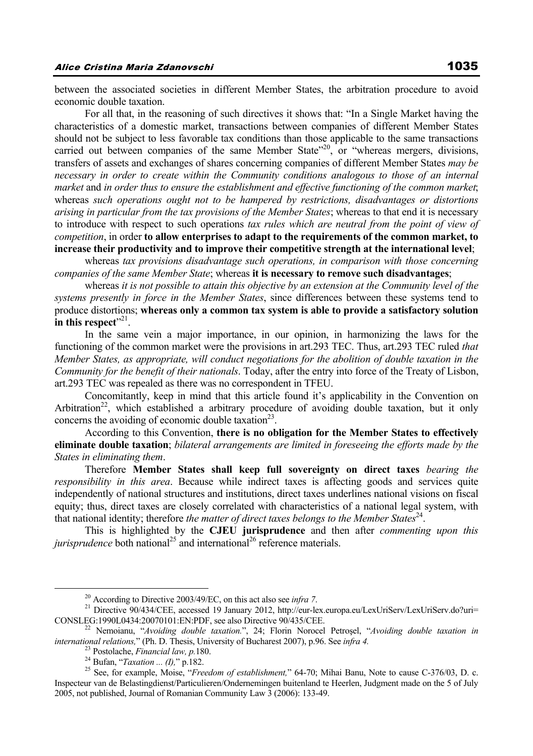between the associated societies in different Member States, the arbitration procedure to avoid economic double taxation.

For all that, in the reasoning of such directives it shows that: "In a Single Market having the characteristics of a domestic market, transactions between companies of different Member States should not be subject to less favorable tax conditions than those applicable to the same transactions carried out between companies of the same Member State<sup>"20</sup>, or "whereas mergers, divisions, transfers of assets and exchanges of shares concerning companies of different Member States *may be necessary in order to create within the Community conditions analogous to those of an internal market* and *in order thus to ensure the establishment and effective functioning of the common market*; whereas *such operations ought not to be hampered by restrictions, disadvantages or distortions arising in particular from the tax provisions of the Member States*; whereas to that end it is necessary to introduce with respect to such operations *tax rules which are neutral from the point of view of competition*, in order **to allow enterprises to adapt to the requirements of the common market, to increase their productivity and to improve their competitive strength at the international level**;

whereas *tax provisions disadvantage such operations, in comparison with those concerning companies of the same Member State*; whereas **it is necessary to remove such disadvantages**;

whereas *it is not possible to attain this objective by an extension at the Community level of the systems presently in force in the Member States*, since differences between these systems tend to produce distortions; **whereas only a common tax system is able to provide a satisfactory solution**  in this respect<sup>"21</sup>.

In the same vein a major importance, in our opinion, in harmonizing the laws for the functioning of the common market were the provisions in art.293 TEC. Thus, art.293 TEC ruled *that Member States, as appropriate, will conduct negotiations for the abolition of double taxation in the Community for the benefit of their nationals*. Today, after the entry into force of the Treaty of Lisbon, art.293 TEC was repealed as there was no correspondent in TFEU.

Concomitantly, keep in mind that this article found it's applicability in the Convention on Arbitration<sup>22</sup>, which established a arbitrary procedure of avoiding double taxation, but it only concerns the avoiding of economic double taxation $^{23}$ .

According to this Convention, **there is no obligation for the Member States to effectively eliminate double taxation**; *bilateral arrangements are limited in foreseeing the efforts made by the States in eliminating them*.

Therefore **Member States shall keep full sovereignty on direct taxes** *bearing the responsibility in this area*. Because while indirect taxes is affecting goods and services quite independently of national structures and institutions, direct taxes underlines national visions on fiscal equity; thus, direct taxes are closely correlated with characteristics of a national legal system, with that national identity; therefore *the matter of direct taxes belongs to the Member States*24.

This is highlighted by the **CJEU jurisprudence** and then after *commenting upon this jurisprudence* both national<sup>25</sup> and international<sup>26</sup> reference materials.

<sup>&</sup>lt;sup>20</sup> According to Directive 2003/49/EC, on this act also see *infra 7*.<br><sup>21</sup> Directive 90/434/CEE, accessed 19 January 2012, http://eur-lex.europa.eu/LexUriServ/LexUriServ.do?uri= CONSLEG:1990L0434:20070101:EN:PDF, see also Directive 90/435/CEE. 22 Nemoianu, "*Avoiding double taxation.*", 24; Florin Norocel Petroşel, "*Avoiding double taxation in* 

international relations," (Ph. D. Thesis, University of Bucharest 2007), p.96. See infra 4.<br><sup>23</sup> Postolache, *Financial law, p.*180.<br><sup>24</sup> Bufan, "*Taxation* ... (*I*)," p.182.<br><sup>25</sup> See, for example, Moise, "*Freedom of est* 

Inspecteur van de Belastingdienst/Particulieren/Ondernemingen buitenland te Heerlen, Judgment made on the 5 of July 2005, not published, Journal of Romanian Community Law 3 (2006): 133-49.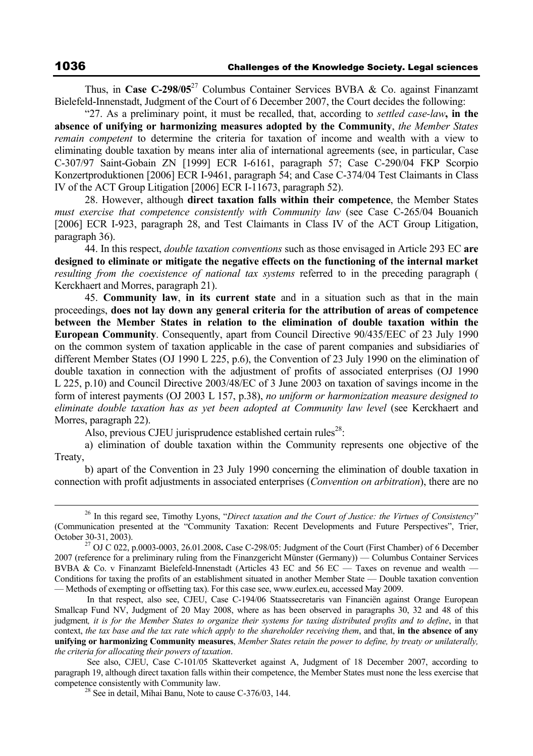Thus, in **Case C-298/05**<sup>27</sup> Columbus Container Services BVBA & Co. against Finanzamt Bielefeld-Innenstadt, Judgment of the Court of 6 December 2007, the Court decides the following:

"27. As a preliminary point, it must be recalled, that, according to *settled case-law***, in the absence of unifying or harmonizing measures adopted by the Community**, *the Member States remain competent* to determine the criteria for taxation of income and wealth with a view to eliminating double taxation by means inter alia of international agreements (see, in particular, Case C-307/97 Saint-Gobain ZN [1999] ECR I-6161, paragraph 57; Case C-290/04 FKP Scorpio Konzertproduktionen [2006] ECR I-9461, paragraph 54; and Case C-374/04 Test Claimants in Class IV of the ACT Group Litigation [2006] ECR I-11673, paragraph 52).

28. However, although **direct taxation falls within their competence**, the Member States *must exercise that competence consistently with Community law* (see Case C-265/04 Bouanich [2006] ECR I-923, paragraph 28, and Test Claimants in Class IV of the ACT Group Litigation. paragraph 36).

44. In this respect, *double taxation conventions* such as those envisaged in Article 293 EC **are designed to eliminate or mitigate the negative effects on the functioning of the internal market** *resulting from the coexistence of national tax systems* referred to in the preceding paragraph ( Kerckhaert and Morres, paragraph 21).

45. **Community law**, **in its current state** and in a situation such as that in the main proceedings, **does not lay down any general criteria for the attribution of areas of competence between the Member States in relation to the elimination of double taxation within the European Community**. Consequently, apart from Council Directive 90/435/EEC of 23 July 1990 on the common system of taxation applicable in the case of parent companies and subsidiaries of different Member States (OJ 1990 L 225, p.6), the Convention of 23 July 1990 on the elimination of double taxation in connection with the adjustment of profits of associated enterprises (OJ 1990 L 225, p.10) and Council Directive 2003/48/EC of 3 June 2003 on taxation of savings income in the form of interest payments (OJ 2003 L 157, p.38), *no uniform or harmonization measure designed to eliminate double taxation has as yet been adopted at Community law level* (see Kerckhaert and Morres, paragraph 22).

Also, previous CJEU jurisprudence established certain rules<sup>28</sup>:

a) elimination of double taxation within the Community represents one objective of the Treaty,

b) apart of the Convention in 23 July 1990 concerning the elimination of double taxation in connection with profit adjustments in associated enterprises (*Convention on arbitration*), there are no

 <sup>26</sup> In this regard see, Timothy Lyons, "*Direct taxation and the Court of Justice: the Virtues of Consistency*" (Communication presented at the "Community Taxation: Recent Developments and Future Perspectives", Trier, October 30-31, 2003). 27 OJ C 022, p.0003-0003, 26.01.2008**.** Case C-298/05: Judgment of the Court (First Chamber) of 6 December

<sup>2007 (</sup>reference for a preliminary ruling from the Finanzgericht Münster (Germany)) — Columbus Container Services BVBA & Co. v Finanzamt Bielefeld-Innenstadt (Articles 43 EC and 56 EC — Taxes on revenue and wealth — Conditions for taxing the profits of an establishment situated in another Member State — Double taxation convention — Methods of exempting or offsetting tax). For this case see, www.eurlex.eu, accessed May 2009.

In that respect, also see, CJEU, Case C-194/06 Staatssecretaris van Financiën against Orange European Smallcap Fund NV, Judgment of 20 May 2008, where as has been observed in paragraphs 30, 32 and 48 of this judgment*, it is for the Member States to organize their systems for taxing distributed profits and to define*, in that context, *the tax base and the tax rate which apply to the shareholder receiving them*, and that, **in the absence of any unifying or harmonizing Community measures**, *Member States retain the power to define, by treaty or unilaterally, the criteria for allocating their powers of taxation*.

See also, CJEU, Case C-101/05 Skatteverket against A, Judgment of 18 December 2007, according to paragraph 19, although direct taxation falls within their competence, the Member States must none the less exercise that competence consistently with Community law.<br><sup>28</sup> See in detail, Mihai Banu, Note to cause C-376/03, 144.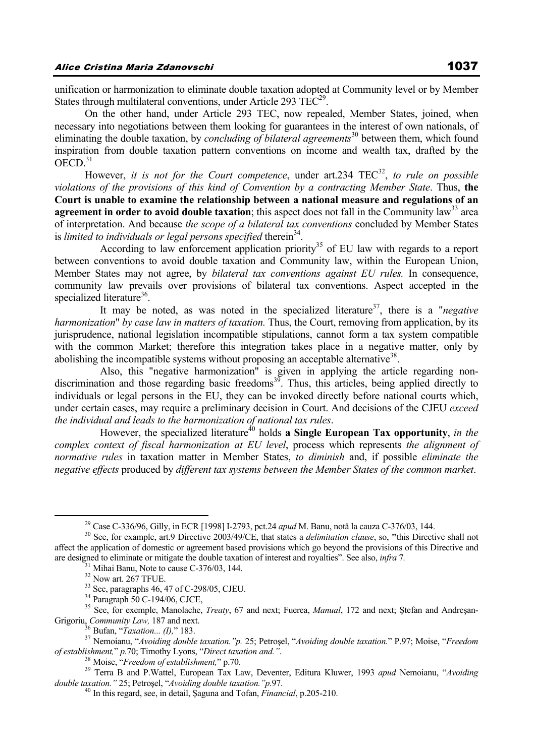unification or harmonization to eliminate double taxation adopted at Community level or by Member States through multilateral conventions, under Article 293  $TEC<sup>29</sup>$ .

On the other hand, under Article 293 TEC, now repealed, Member States, joined, when necessary into negotiations between them looking for guarantees in the interest of own nationals, of eliminating the double taxation, by *concluding of bilateral agreements*<sup>30</sup> between them, which found inspiration from double taxation pattern conventions on income and wealth tax, drafted by the  $OECD<sup>31</sup>$ 

However, *it is not for the Court competence*, under art.234 TEC<sup>32</sup>, *to rule on possible violations of the provisions of this kind of Convention by a contracting Member State*. Thus, **the Court is unable to examine the relationship between a national measure and regulations of an agreement in order to avoid double taxation**; this aspect does not fall in the Community law<sup>33</sup> area of interpretation. And because *the scope of a bilateral tax conventions* concluded by Member States is *limited to individuals or legal persons specified* therein<sup>34</sup>.

According to law enforcement application priority<sup>35</sup> of EU law with regards to a report between conventions to avoid double taxation and Community law, within the European Union, Member States may not agree, by *bilateral tax conventions against EU rules.* In consequence, community law prevails over provisions of bilateral tax conventions. Aspect accepted in the specialized literature<sup>36</sup>.

It may be noted, as was noted in the specialized literature<sup>37</sup>, there is a "*negative harmonization*" *by case law in matters of taxation.* Thus, the Court, removing from application, by its jurisprudence, national legislation incompatible stipulations, cannot form a tax system compatible with the common Market; therefore this integration takes place in a negative matter, only by abolishing the incompatible systems without proposing an acceptable alternative<sup>38</sup>.

 Also, this "negative harmonization" is given in applying the article regarding nondiscrimination and those regarding basic freedoms<sup>39</sup>. Thus, this articles, being applied directly to individuals or legal persons in the EU, they can be invoked directly before national courts which, under certain cases, may require a preliminary decision in Court. And decisions of the CJEU *exceed the individual and leads to the harmonization of national tax rules*.

However, the specialized literature<sup>40</sup> holds **a Single European Tax opportunity**, *in the complex context of fiscal harmonization at EU level*, process which represents *the alignment of normative rules* in taxation matter in Member States, *to diminish* and, if possible *eliminate the negative effects* produced by *different tax systems between the Member States of the common market*.

<sup>&</sup>lt;sup>29</sup> Case C-336/96, Gilly, in ECR [1998] I-2793, pct.24 *apud* M. Banu, notă la cauza C-376/03, 144.<br><sup>30</sup> See, for example, art.9 Directive 2003/49/CE, that states a *delimitation clause*, so, "this Directive shall not affect the application of domestic or agreement based provisions which go beyond the provisions of this Directive and are designed to eliminate or mitigate the double taxation of interest and royalties". See also, *infra* 7*.* 31 Mihai Banu, Note to cause C-376/03, 144.

<sup>&</sup>lt;sup>32</sup> Now art. 267 TFUE.

<sup>33</sup> See, paragraphs 46, 47 of C-298/05, CJEU.

<sup>34</sup> Paragraph 50 C-194/06, CJCE,

<sup>&</sup>lt;sup>35</sup> See, for exemple, Manolache, *Treaty*, 67 and next; Fuerea, *Manual*, 172 and next; Ştefan and Andreşan-Grigoriu, *Community Law*, 187 and next.

<sup>&</sup>lt;sup>36</sup> Bufan, "*Taxation... (I),*" 183.<br><sup>37</sup> Nemoianu, "*Avoiding double taxation.*"*p.* 25; Petrosel, "*Avoiding double taxation.*" P.97; Moise, "*Freedom of establishment.*" *p.* 70; Timothy Lyons, "Direct taxation and."

<sup>&</sup>lt;sup>38</sup> Moise, "*Freedom of establishment*," p.70.<br><sup>39</sup> Terra B and P.Wattel, European Tax Law, Deventer, Editura Kluwer, 1993 *apud* Nemoianu, "*Avoiding double taxation*." 25; Petrosel, "*Avoiding double taxation*." p.97.

<sup>&</sup>lt;sup>40</sup> In this regard, see, in detail, Saguna and Tofan, *Financial*, p.205-210.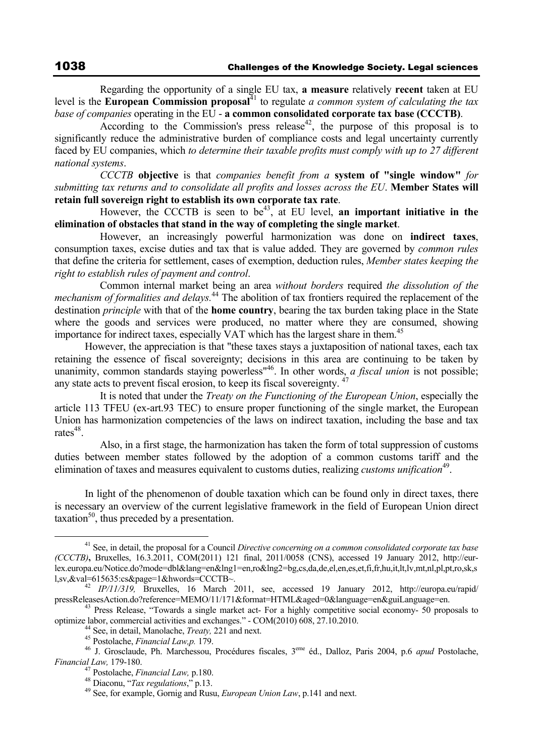Regarding the opportunity of a single EU tax, **a measure** relatively **recent** taken at EU level is the **European Commission proposal**<sup>41</sup> to regulate *a common system of calculating the tax base of companies* operating in the EU - **a common consolidated corporate tax base (CCCTB)**.

According to the Commission's press release<sup>42</sup>, the purpose of this proposal is to significantly reduce the administrative burden of compliance costs and legal uncertainty currently faced by EU companies, which *to determine their taxable profits must comply with up to 27 different national systems*.

*CCCTB* **objective** is that *companies benefit from a* **system of "single window"** *for submitting tax returns and to consolidate all profits and losses across the EU*. **Member States will retain full sovereign right to establish its own corporate tax rate**.

However, the CCCTB is seen to be<sup>43</sup>, at EU level, **an important initiative in the elimination of obstacles that stand in the way of completing the single market**.

 However, an increasingly powerful harmonization was done on **indirect taxes**, consumption taxes, excise duties and tax that is value added. They are governed by *common rules* that define the criteria for settlement, cases of exemption, deduction rules, *Member states keeping the right to establish rules of payment and control*.

 Common internal market being an area *without borders* required *the dissolution of the mechanism of formalities and delays.*<sup>44</sup> The abolition of tax frontiers required the replacement of the destination *principle* with that of the **home country**, bearing the tax burden taking place in the State where the goods and services were produced, no matter where they are consumed, showing importance for indirect taxes, especially VAT which has the largest share in them.<sup>45</sup>

However, the appreciation is that "these taxes stays a juxtaposition of national taxes, each tax retaining the essence of fiscal sovereignty; decisions in this area are continuing to be taken by unanimity, common standards staying powerless<sup>"46</sup>. In other words, *a fiscal union* is not possible; any state acts to prevent fiscal erosion, to keep its fiscal sovereignty. <sup>4</sup>

 It is noted that under the *Treaty on the Functioning of the European Union*, especially the article 113 TFEU (ex-art.93 TEC) to ensure proper functioning of the single market, the European Union has harmonization competencies of the laws on indirect taxation, including the base and tax  $rates<sup>48</sup>$ 

 Also, in a first stage, the harmonization has taken the form of total suppression of customs duties between member states followed by the adoption of a common customs tariff and the elimination of taxes and measures equivalent to customs duties, realizing *customs unification*<sup>49</sup>.

In light of the phenomenon of double taxation which can be found only in direct taxes, there is necessary an overview of the current legislative framework in the field of European Union direct  $taxation<sup>50</sup>$ , thus preceded by a presentation.

<sup>&</sup>lt;sup>41</sup> See, in detail, the proposal for a Council *Directive concerning on a common consolidated corporate tax base (CCCTB)***,** Bruxelles, 16.3.2011, COM(2011) 121 final, 2011/0058 (CNS), accessed 19 January 2012, http://eurlex.europa.eu/Notice.do?mode=dbl&lang=en&lng1=en,ro&lng2=bg,cs,da,de,el,en,es,et,fi,fr,hu,it,lt,lv,mt,nl,pl,pt,ro,sk,s l,sv,&val=615635:cs&page=1&hwords=CCCTB~. 42 *IP/11/319,* Bruxelles, 16 March 2011, see, accessed 19 January 2012, http://europa.eu/rapid/

pressReleasesAction.do?reference=MEMO/11/171&format=HTML&aged=0&language=en&guiLanguage=en.<br>
<sup>43</sup> Press Release, "Towards a single market act- For a highly competitive social economy- 50 proposals to<br>
optimize labor, comme

<sup>&</sup>lt;sup>44</sup> See, in detail, Manolache, *Treaty*, 221 and next.<br><sup>45</sup> Postolache, *Financial Law,p.* 179.<br><sup>46</sup> J. Grosclaude, Ph. Marchessou, Procédures fiscales, 3<sup>eme</sup> éd., Dalloz, Paris 2004, p.6 *apud* Postolache,<br>*Financial L* 

*Financial Law,* 179-180. 47 Postolache, *Financial Law,* p.180. 48 Diaconu, "*Tax regulations*," p.13. 49 See, for example, Gornig and Rusu, *European Union Law*, p.141 and next.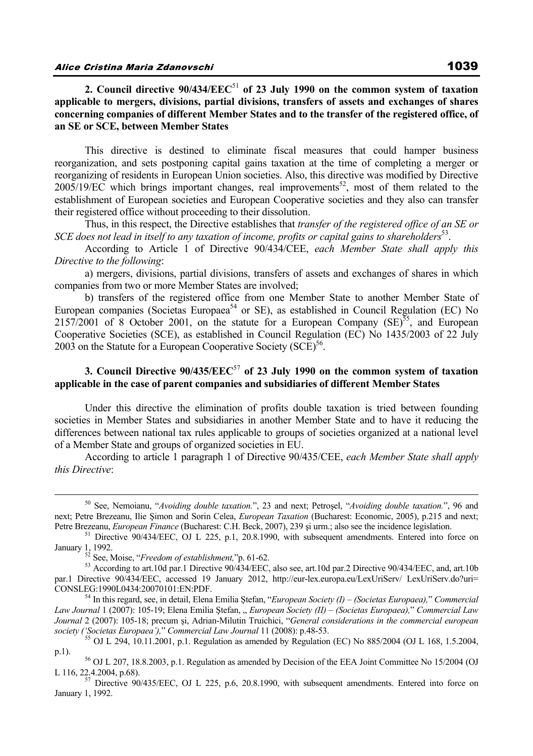**2. Council directive 90/434/EEC**<sup>51</sup> **of 23 July 1990 on the common system of taxation applicable to mergers, divisions, partial divisions, transfers of assets and exchanges of shares concerning companies of different Member States and to the transfer of the registered office, of an SE or SCE, between Member States**

This directive is destined to eliminate fiscal measures that could hamper business reorganization, and sets postponing capital gains taxation at the time of completing a merger or reorganizing of residents in European Union societies. Also, this directive was modified by Directive  $2005/19/EC$  which brings important changes, real improvements<sup>52</sup>, most of them related to the establishment of European societies and European Cooperative societies and they also can transfer their registered office without proceeding to their dissolution.

Thus, in this respect, the Directive establishes that *transfer of the registered office of an SE or SCE does not lead in itself to any taxation of income, profits or capital gains to shareholders*53.

According to Article 1 of Directive 90/434/CEE, *each Member State shall apply this Directive to the following*:

a) mergers, divisions, partial divisions, transfers of assets and exchanges of shares in which companies from two or more Member States are involved;

b) transfers of the registered office from one Member State to another Member State of European companies (Societas Europaea<sup>54</sup> or SE), as established in Council Regulation (EC) No 2157/2001 of 8 October 2001, on the statute for a European Company  $SE^{55}$ , and European Cooperative Societies (SCE), as established in Council Regulation (EC) No 1435/2003 of 22 July 2003 on the Statute for a European Cooperative Society  $(SCE)^{56}$ .

# **3. Council Directive 90/435/EEC**<sup>57</sup> **of 23 July 1990 on the common system of taxation applicable in the case of parent companies and subsidiaries of different Member States**

Under this directive the elimination of profits double taxation is tried between founding societies in Member States and subsidiaries in another Member State and to have it reducing the differences between national tax rules applicable to groups of societies organized at a national level of a Member State and groups of organized societies in EU.

According to article 1 paragraph 1 of Directive 90/435/CEE, *each Member State shall apply this Directive*:

 <sup>50</sup> See, Nemoianu, "*Avoiding double taxation.*", 23 and next; Petroşel, "*Avoiding double taxation.*", 96 and next; Petre Brezeanu, Ilie Şimon and Sorin Celea, *European Taxation* (Bucharest: Economic, 2005), p.215 and next; Petre Brezeanu, *European Finance* (Bucharest: C.H. Beck, 2007), 239 și urm.; also see the incidence legislation. <sup>51</sup> Directive 90/434/EEC, OJ L 225, p.1, 20.8.1990, with subsequent amendments. Entered into force on

January 1, 1992.<br><sup>52</sup> See, Moise, "*Freedom of establishment*,"p. 61-62.<br><sup>53</sup> According to art.10d par.1 Directive 90/434/EEC, also see, art.10d par.2 Directive 90/434/EEC, and, art.10b

par.1 Directive 90/434/EEC, accessed 19 January 2012, http://eur-lex.europa.eu/LexUriServ/ LexUriServ.do?uri= CONSLEG:1990L0434:20070101:EN:PDF. 54 In this regard, see, in detail, Elena Emilia Ştefan, "*European Society (I) – (Societas Europaea),*" *Commercial* 

*Law Journal* 1 (2007): 105-19; Elena Emilia Ștefan, " European Society (II) – (Societas Europaea)," Commercial Law *Journal 2 (2007): 105-18; precum și, Adrian-Milutin Truichici, "General considerations in the commercial european society ('Societas European')," Commercial Law Journal 11 (2008): p.48-53.* 

<sup>&</sup>lt;sup>55</sup> OJ L 294,  $10.11.2001$ , p.1. Regulation as amended by Regulation (EC) No 885/2004 (OJ L 168, 1.5.2004, p.1). 56 OJ L 207, 18.8.2003, p.1. Regulation as amended by Decision of the EEA Joint Committee No 15/2004 (OJ

L 116, 22.4.2004, p.68).  $\frac{57}{57}$  Directive 90/435/EEC, OJ L 225, p.6, 20.8.1990, with subsequent amendments. Entered into force on

January 1, 1992.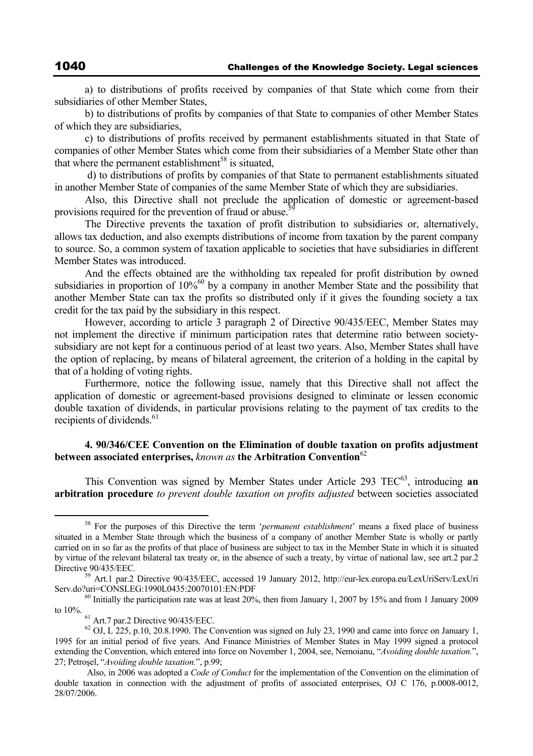a) to distributions of profits received by companies of that State which come from their subsidiaries of other Member States,

b) to distributions of profits by companies of that State to companies of other Member States of which they are subsidiaries,

c) to distributions of profits received by permanent establishments situated in that State of companies of other Member States which come from their subsidiaries of a Member State other than that where the permanent establishment<sup>58</sup> is situated,

 d) to distributions of profits by companies of that State to permanent establishments situated in another Member State of companies of the same Member State of which they are subsidiaries.

Also, this Directive shall not preclude the application of domestic or agreement-based provisions required for the prevention of fraud or abuse.<sup>5</sup>

The Directive prevents the taxation of profit distribution to subsidiaries or, alternatively, allows tax deduction, and also exempts distributions of income from taxation by the parent company to source. So, a common system of taxation applicable to societies that have subsidiaries in different Member States was introduced.

And the effects obtained are the withholding tax repealed for profit distribution by owned subsidiaries in proportion of 10%<sup>60</sup> by a company in another Member State and the possibility that another Member State can tax the profits so distributed only if it gives the founding society a tax credit for the tax paid by the subsidiary in this respect.

However, according to article 3 paragraph 2 of Directive 90/435/EEC, Member States may not implement the directive if minimum participation rates that determine ratio between societysubsidiary are not kept for a continuous period of at least two years. Also, Member States shall have the option of replacing, by means of bilateral agreement, the criterion of a holding in the capital by that of a holding of voting rights.

Furthermore, notice the following issue, namely that this Directive shall not affect the application of domestic or agreement-based provisions designed to eliminate or lessen economic double taxation of dividends, in particular provisions relating to the payment of tax credits to the recipients of dividends.<sup>61</sup>

### **4. 90/346/CEE Convention on the Elimination of double taxation on profits adjustment between associated enterprises,** *known as* **the Arbitration Convention**<sup>62</sup>

This Convention was signed by Member States under Article 293 TEC<sup>63</sup>, introducing **an arbitration procedure** *to prevent double taxation on profits adjusted* between societies associated

 <sup>58</sup> For the purposes of this Directive the term '*permanent establishment*' means a fixed place of business situated in a Member State through which the business of a company of another Member State is wholly or partly carried on in so far as the profits of that place of business are subject to tax in the Member State in which it is situated by virtue of the relevant bilateral tax treaty or, in the absence of such a treaty, by virtue of national law, see art.2 par.2 Directive 90/435/EEC. 59 Art.1 par.2 Directive 90/435/EEC, accessed 19 January 2012, http://eur-lex.europa.eu/LexUriServ/LexUri

Serv.do?uri=CONSLEG:1990L0435:20070101:EN:PDF<br><sup>60</sup> Initially the participation rate was at least 20%, then from January 1, 2007 by 15% and from 1 January 2009

to 10%.  $61$  Art.7 par.2 Directive 90/435/EEC.

 $^{62}$  OJ, L 225, p.10, 20.8.1990. The Convention was signed on July 23, 1990 and came into force on January 1, 1995 for an initial period of five years. And Finance Ministries of Member States in May 1999 signed a protocol extending the Convention, which entered into force on November 1, 2004, see, Nemoianu, "*Avoiding double taxation.*", 27; Petroşel, "*Avoiding double taxation.*", p.99;

Also, in 2006 was adopted a *Code of Conduct* for the implementation of the Convention on the elimination of double taxation in connection with the adjustment of profits of associated enterprises, OJ C 176, p.0008-0012, 28/07/2006.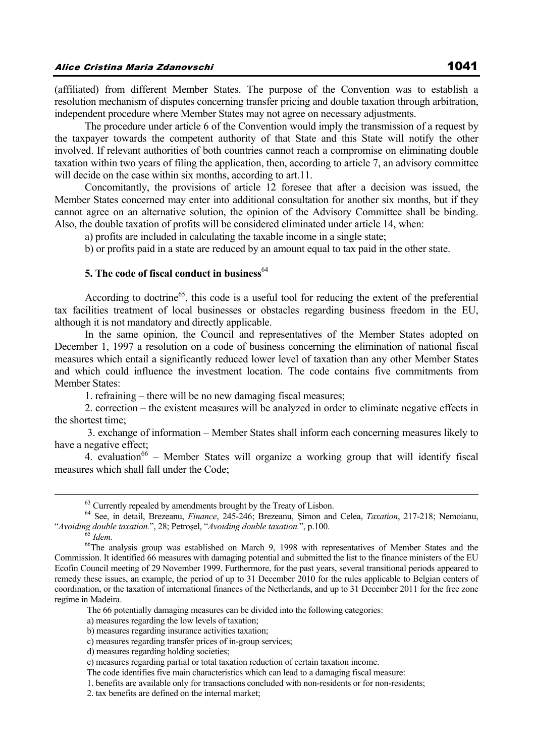(affiliated) from different Member States. The purpose of the Convention was to establish a resolution mechanism of disputes concerning transfer pricing and double taxation through arbitration, independent procedure where Member States may not agree on necessary adjustments.

The procedure under article 6 of the Convention would imply the transmission of a request by the taxpayer towards the competent authority of that State and this State will notify the other involved. If relevant authorities of both countries cannot reach a compromise on eliminating double taxation within two years of filing the application, then, according to article 7, an advisory committee will decide on the case within six months, according to art.11.

Concomitantly, the provisions of article 12 foresee that after a decision was issued, the Member States concerned may enter into additional consultation for another six months, but if they cannot agree on an alternative solution, the opinion of the Advisory Committee shall be binding. Also, the double taxation of profits will be considered eliminated under article 14, when:

a) profits are included in calculating the taxable income in a single state;

b) or profits paid in a state are reduced by an amount equal to tax paid in the other state.

## **5. The code of fiscal conduct in business**<sup>64</sup>

According to doctrine<sup>65</sup>, this code is a useful tool for reducing the extent of the preferential tax facilities treatment of local businesses or obstacles regarding business freedom in the EU, although it is not mandatory and directly applicable.

In the same opinion, the Council and representatives of the Member States adopted on December 1, 1997 a resolution on a code of business concerning the elimination of national fiscal measures which entail a significantly reduced lower level of taxation than any other Member States and which could influence the investment location. The code contains five commitments from Member States:

1. refraining – there will be no new damaging fiscal measures;

2. correction – the existent measures will be analyzed in order to eliminate negative effects in the shortest time;

 3. exchange of information – Member States shall inform each concerning measures likely to have a negative effect;

4. evaluation<sup>66</sup> – Member States will organize a working group that will identify fiscal measures which shall fall under the Code;

The 66 potentially damaging measures can be divided into the following categories:

a) measures regarding the low levels of taxation;

<sup>&</sup>lt;sup>63</sup> Currently repealed by amendments brought by the Treaty of Lisbon.

<sup>64</sup> See, in detail, Brezeanu, *Finance*, 245-246; Brezeanu, Şimon and Celea, *Taxation*, 217-218; Nemoianu, *Avoiding double taxation."*, 28; Petroșel, "*Avoiding double taxation."*, p.100.<br><sup>65</sup> *Idem.* <sup>66</sup>The analysis group was established on March 9, 1998 with representatives of Member States and the

Commission. It identified 66 measures with damaging potential and submitted the list to the finance ministers of the EU Ecofin Council meeting of 29 November 1999. Furthermore, for the past years, several transitional periods appeared to remedy these issues, an example, the period of up to 31 December 2010 for the rules applicable to Belgian centers of coordination, or the taxation of international finances of the Netherlands, and up to 31 December 2011 for the free zone regime in Madeira.

b) measures regarding insurance activities taxation;

c) measures regarding transfer prices of in-group services;

d) measures regarding holding societies;

e) measures regarding partial or total taxation reduction of certain taxation income.

The code identifies five main characteristics which can lead to a damaging fiscal measure:

 <sup>1.</sup> benefits are available only for transactions concluded with non-residents or for non-residents;

 <sup>2.</sup> tax benefits are defined on the internal market;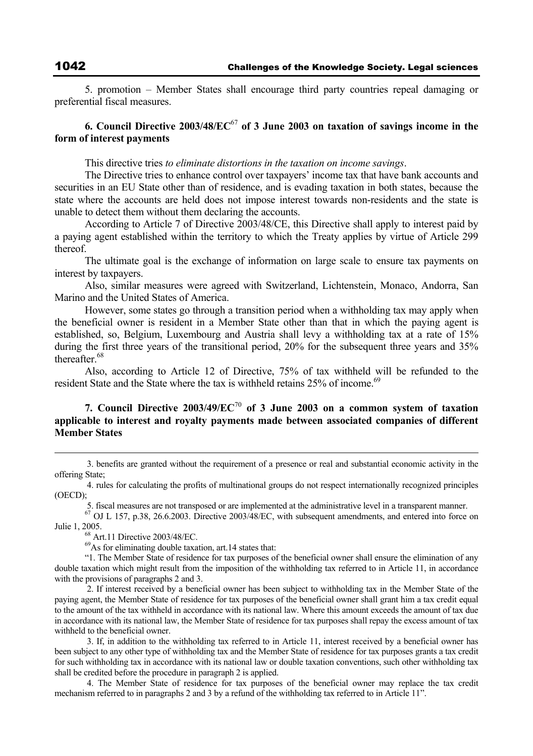5. promotion – Member States shall encourage third party countries repeal damaging or preferential fiscal measures.

## **6. Council Directive 2003/48/EC**<sup>67</sup> **of 3 June 2003 on taxation of savings income in the form of interest payments**

This directive tries *to eliminate distortions in the taxation on income savings*.

The Directive tries to enhance control over taxpayers' income tax that have bank accounts and securities in an EU State other than of residence, and is evading taxation in both states, because the state where the accounts are held does not impose interest towards non-residents and the state is unable to detect them without them declaring the accounts.

According to Article 7 of Directive 2003/48/CE, this Directive shall apply to interest paid by a paying agent established within the territory to which the Treaty applies by virtue of Article 299 thereof.

The ultimate goal is the exchange of information on large scale to ensure tax payments on interest by taxpayers.

Also, similar measures were agreed with Switzerland, Lichtenstein, Monaco, Andorra, San Marino and the United States of America.

However, some states go through a transition period when a withholding tax may apply when the beneficial owner is resident in a Member State other than that in which the paying agent is established, so, Belgium, Luxembourg and Austria shall levy a withholding tax at a rate of 15% during the first three years of the transitional period, 20% for the subsequent three years and 35% thereafter. $68$ 

Also, according to Article 12 of Directive, 75% of tax withheld will be refunded to the resident State and the State where the tax is withheld retains 25% of income.<sup>69</sup>

## **7. Council Directive 2003/49/EC**<sup>70</sup> **of 3 June 2003 on a common system of taxation applicable to interest and royalty payments made between associated companies of different Member States**

 3. benefits are granted without the requirement of a presence or real and substantial economic activity in the offering State;

 4. rules for calculating the profits of multinational groups do not respect internationally recognized principles (OECD);

5. fiscal measures are not transposed or are implemented at the administrative level in a transparent manner.

 $^{67}$  OJ L 157, p.38, 26.6.2003. Directive 2003/48/EC, with subsequent amendments, and entered into force on Julie 1, 2005. 68 Art.11 Directive 2003/48/EC.

 $^{69}$ As for eliminating double taxation, art.14 states that:

"1. The Member State of residence for tax purposes of the beneficial owner shall ensure the elimination of any double taxation which might result from the imposition of the withholding tax referred to in Article 11, in accordance with the provisions of paragraphs 2 and 3.

 2. If interest received by a beneficial owner has been subject to withholding tax in the Member State of the paying agent, the Member State of residence for tax purposes of the beneficial owner shall grant him a tax credit equal to the amount of the tax withheld in accordance with its national law. Where this amount exceeds the amount of tax due in accordance with its national law, the Member State of residence for tax purposes shall repay the excess amount of tax withheld to the beneficial owner.

 3. If, in addition to the withholding tax referred to in Article 11, interest received by a beneficial owner has been subject to any other type of withholding tax and the Member State of residence for tax purposes grants a tax credit for such withholding tax in accordance with its national law or double taxation conventions, such other withholding tax shall be credited before the procedure in paragraph 2 is applied.

 4. The Member State of residence for tax purposes of the beneficial owner may replace the tax credit mechanism referred to in paragraphs 2 and 3 by a refund of the withholding tax referred to in Article 11".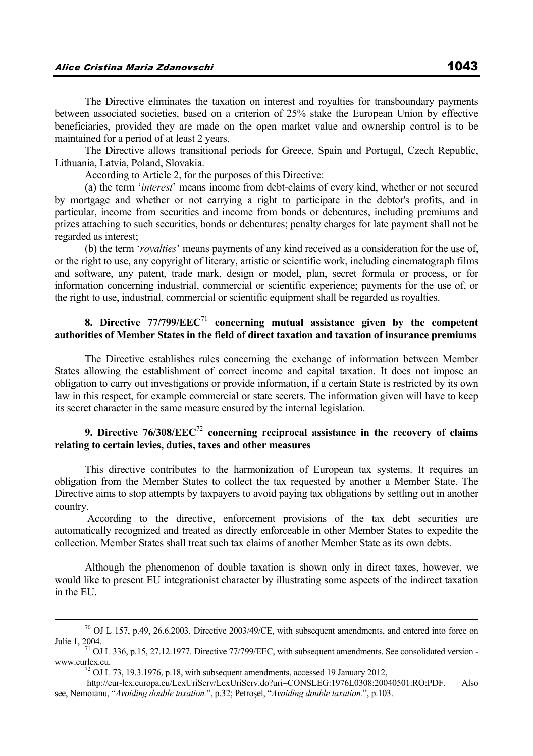The Directive eliminates the taxation on interest and royalties for transboundary payments between associated societies, based on a criterion of 25% stake the European Union by effective beneficiaries, provided they are made on the open market value and ownership control is to be maintained for a period of at least 2 years.

The Directive allows transitional periods for Greece, Spain and Portugal, Czech Republic, Lithuania, Latvia, Poland, Slovakia.

According to Article 2, for the purposes of this Directive:

(a) the term '*interest*' means income from debt-claims of every kind, whether or not secured by mortgage and whether or not carrying a right to participate in the debtor's profits, and in particular, income from securities and income from bonds or debentures, including premiums and prizes attaching to such securities, bonds or debentures; penalty charges for late payment shall not be regarded as interest;

(b) the term '*royalties*' means payments of any kind received as a consideration for the use of, or the right to use, any copyright of literary, artistic or scientific work, including cinematograph films and software, any patent, trade mark, design or model, plan, secret formula or process, or for information concerning industrial, commercial or scientific experience; payments for the use of, or the right to use, industrial, commercial or scientific equipment shall be regarded as royalties.

## **8. Directive 77/799/EEC**<sup>71</sup> **concerning mutual assistance given by the competent authorities of Member States in the field of direct taxation and taxation of insurance premiums**

The Directive establishes rules concerning the exchange of information between Member States allowing the establishment of correct income and capital taxation. It does not impose an obligation to carry out investigations or provide information, if a certain State is restricted by its own law in this respect, for example commercial or state secrets. The information given will have to keep its secret character in the same measure ensured by the internal legislation.

## **9. Directive 76/308/EEC**<sup>72</sup> **concerning reciprocal assistance in the recovery of claims relating to certain levies, duties, taxes and other measures**

This directive contributes to the harmonization of European tax systems. It requires an obligation from the Member States to collect the tax requested by another a Member State. The Directive aims to stop attempts by taxpayers to avoid paying tax obligations by settling out in another country.

 According to the directive, enforcement provisions of the tax debt securities are automatically recognized and treated as directly enforceable in other Member States to expedite the collection. Member States shall treat such tax claims of another Member State as its own debts.

Although the phenomenon of double taxation is shown only in direct taxes, however, we would like to present EU integrationist character by illustrating some aspects of the indirect taxation in the EU.

 $70$  OJ L 157, p.49, 26.6.2003. Directive 2003/49/CE, with subsequent amendments, and entered into force on Julie 1, 2004.<br> $\frac{71}{10}$  OJ L 336, p.15, 27.12.1977. Directive 77/799/EEC, with subsequent amendments. See consolidated version -

www.eurlex.eu.  $^{72}$  OJ L 73, 19.3.1976, p.18, with subsequent amendments, accessed 19 January 2012,

http://eur-lex.europa.eu/LexUriServ/LexUriServ.do?uri=CONSLEG:1976L0308:20040501:RO:PDF. Also see, Nemoianu, "*Avoiding double taxation.*", p.32; Petroşel, "*Avoiding double taxation.*", p.103.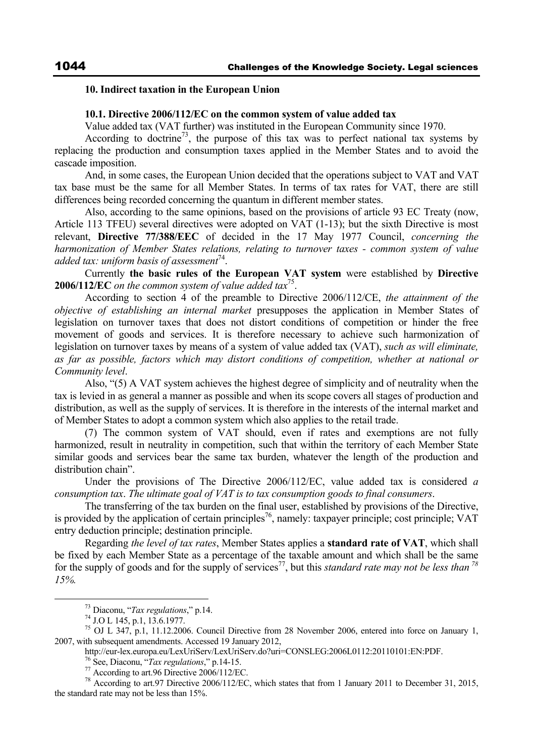#### **10. Indirect taxation in the European Union**

#### **10.1. Directive 2006/112/EC on the common system of value added tax**

Value added tax (VAT further) was instituted in the European Community since 1970.

According to doctrine<sup>73</sup>, the purpose of this tax was to perfect national tax systems by replacing the production and consumption taxes applied in the Member States and to avoid the cascade imposition.

And, in some cases, the European Union decided that the operations subject to VAT and VAT tax base must be the same for all Member States. In terms of tax rates for VAT, there are still differences being recorded concerning the quantum in different member states.

Also, according to the same opinions, based on the provisions of article 93 EC Treaty (now, Article 113 TFEU) several directives were adopted on VAT (1-13); but the sixth Directive is most relevant, **Directive 77/388/EEC** of decided in the 17 May 1977 Council, *concerning the harmonization of Member States relations, relating to turnover taxes - common system of value added tax: uniform basis of assessment*<sup>74</sup>.

Currently **the basic rules of the European VAT system** were established by **Directive 2006/112/EC** *on the common system of value added tax*75.

According to section 4 of the preamble to Directive 2006/112/CE, *the attainment of the objective of establishing an internal market* presupposes the application in Member States of legislation on turnover taxes that does not distort conditions of competition or hinder the free movement of goods and services. It is therefore necessary to achieve such harmonization of legislation on turnover taxes by means of a system of value added tax (VAT), *such as will eliminate, as far as possible, factors which may distort conditions of competition, whether at national or Community level*.

Also, "(5) A VAT system achieves the highest degree of simplicity and of neutrality when the tax is levied in as general a manner as possible and when its scope covers all stages of production and distribution, as well as the supply of services. It is therefore in the interests of the internal market and of Member States to adopt a common system which also applies to the retail trade.

(7) The common system of VAT should, even if rates and exemptions are not fully harmonized, result in neutrality in competition, such that within the territory of each Member State similar goods and services bear the same tax burden, whatever the length of the production and distribution chain".

Under the provisions of The Directive 2006/112/EC, value added tax is considered *a consumption tax*. *The ultimate goal of VAT is to tax consumption goods to final consumers*.

The transferring of the tax burden on the final user, established by provisions of the Directive, is provided by the application of certain principles<sup>76</sup>, namely: taxpayer principle; cost principle; VAT entry deduction principle; destination principle.

Regarding *the level of tax rates*, Member States applies a **standard rate of VAT**, which shall be fixed by each Member State as a percentage of the taxable amount and which shall be the same for the supply of goods and for the supply of services<sup>77</sup>, but this *standard rate may not be less than*  $^{78}$ *15%.*

 <sup>73</sup> Diaconu, "*Tax regulations*," p.14. 74 J.O L 145, p.1, 13.6.1977.

<sup>&</sup>lt;sup>75</sup> OJ L 347, p.1, 11.12.2006. Council Directive from 28 November 2006, entered into force on January 1, 2007, with subsequent amendments. Accessed 19 January 2012,

http://eur-lex.europa.eu/LexUriServ/LexUriServ.do?uri=CONSLEG:2006L0112:20110101:EN:PDF.<br><sup>76</sup> See, Diaconu, "*Tax regulations*," p.14-15.<br><sup>77</sup> According to art.96 Directive 2006/112/EC.

<sup>&</sup>lt;sup>78</sup> According to art.97 Directive 2006/112/EC, which states that from 1 January 2011 to December 31, 2015, the standard rate may not be less than 15%.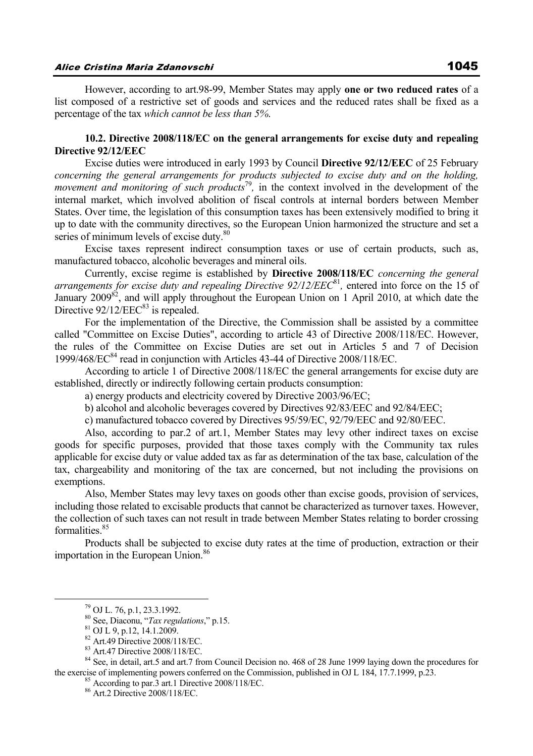However, according to art.98-99, Member States may apply **one or two reduced rates** of a list composed of a restrictive set of goods and services and the reduced rates shall be fixed as a percentage of the tax *which cannot be less than 5%*.

## **10.2. Directive 2008/118/EC on the general arrangements for excise duty and repealing Directive 92/12/EEC**

Excise duties were introduced in early 1993 by Council **Directive 92/12/EEC** of 25 February *concerning the general arrangements for products subjected to excise duty and on the holding, movement and monitoring of such products*<sup>79</sup>, in the context involved in the development of the internal market, which involved abolition of fiscal controls at internal borders between Member States. Over time, the legislation of this consumption taxes has been extensively modified to bring it up to date with the community directives, so the European Union harmonized the structure and set a series of minimum levels of excise duty.<sup>80</sup>

Excise taxes represent indirect consumption taxes or use of certain products, such as, manufactured tobacco, alcoholic beverages and mineral oils.

Currently, excise regime is established by **Directive 2008/118/EC** *concerning the general arrangements for excise duty and repealing Directive 92/12/EEC<sup>81</sup>, entered into force on the 15 of* January  $2009^{82}$ , and will apply throughout the European Union on 1 April 2010, at which date the Directive  $92/12/EEC^{83}$  is repealed.

For the implementation of the Directive, the Commission shall be assisted by a committee called "Committee on Excise Duties", according to article 43 of Directive 2008/118/EC. However, the rules of the Committee on Excise Duties are set out in Articles 5 and 7 of Decision 1999/468/EC<sup>84</sup> read in conjunction with Articles 43-44 of Directive 2008/118/EC.

According to article 1 of Directive 2008/118/EC the general arrangements for excise duty are established, directly or indirectly following certain products consumption:

a) energy products and electricity covered by Directive 2003/96/EC;

b) alcohol and alcoholic beverages covered by Directives 92/83/EEC and 92/84/EEC;

c) manufactured tobacco covered by Directives 95/59/EC, 92/79/EEC and 92/80/EEC.

Also, according to par.2 of art.1, Member States may levy other indirect taxes on excise goods for specific purposes, provided that those taxes comply with the Community tax rules applicable for excise duty or value added tax as far as determination of the tax base, calculation of the tax, chargeability and monitoring of the tax are concerned, but not including the provisions on exemptions.

Also, Member States may levy taxes on goods other than excise goods, provision of services, including those related to excisable products that cannot be characterized as turnover taxes. However, the collection of such taxes can not result in trade between Member States relating to border crossing formalities<sup>85</sup>

Products shall be subjected to excise duty rates at the time of production, extraction or their importation in the European Union.<sup>86</sup>

<sup>84</sup> See, in detail, art.5 and art.7 from Council Decision no. 468 of 28 June 1999 laying down the procedures for the exercise of implementing powers conferred on the Commission, published in OJ L 184, 17.7.1999, p.23. <sup>85</sup> According to par.3 art.1 Directive 2008/118/EC.

 <sup>79</sup> OJ L. 76, p.1, 23.3.1992.

<sup>80</sup> See, Diaconu, "*Tax regulations*," p.15. 81 OJ L 9, p.12, 14.1.2009.

<sup>82</sup> Art.49 Directive 2008/118/EC.

<sup>83</sup> Art.47 Directive 2008/118/EC.

<sup>86</sup> Art.2 Directive 2008/118/EC.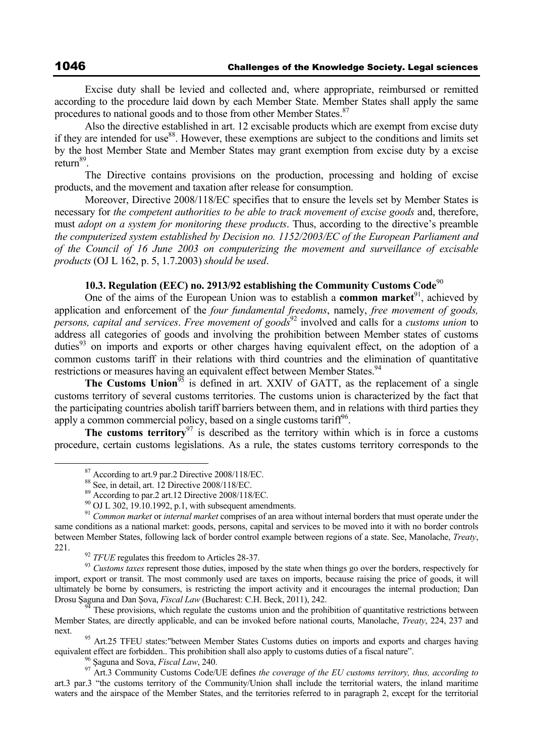Excise duty shall be levied and collected and, where appropriate, reimbursed or remitted according to the procedure laid down by each Member State. Member States shall apply the same procedures to national goods and to those from other Member States.<sup>87</sup>

Also the directive established in art. 12 excisable products which are exempt from excise duty if they are intended for use  $88$ . However, these exemptions are subject to the conditions and limits set by the host Member State and Member States may grant exemption from excise duty by a excise return<sup>89</sup>.

The Directive contains provisions on the production, processing and holding of excise products, and the movement and taxation after release for consumption.

Moreover, Directive 2008/118/EC specifies that to ensure the levels set by Member States is necessary for *the competent authorities to be able to track movement of excise goods* and, therefore, must *adopt on a system for monitoring these products*. Thus, according to the directive's preamble *the computerized system established by Decision no. 1152/2003/EC of the European Parliament and of the Council of 16 June 2003 on computerizing the movement and surveillance of excisable products* (OJ L 162, p. 5, 1.7.2003) *should be used*.

## **10.3. Regulation (EEC) no. 2913/92 establishing the Community Customs Code**<sup>90</sup>

One of the aims of the European Union was to establish a **common market**<sup>91</sup>, achieved by application and enforcement of the *four fundamental freedoms*, namely, *free movement of goods, persons, capital and services*. *Free movement of goods*92 involved and calls for a *customs union* to address all categories of goods and involving the prohibition between Member states of customs duties<sup>93</sup> on imports and exports or other charges having equivalent effect, on the adoption of a common customs tariff in their relations with third countries and the elimination of quantitative restrictions or measures having an equivalent effect between Member States.<sup>94</sup>

**The Customs Union**<sup>95</sup> is defined in art. XXIV of GATT, as the replacement of a single customs territory of several customs territories. The customs union is characterized by the fact that the participating countries abolish tariff barriers between them, and in relations with third parties they apply a common commercial policy, based on a single customs tariff<sup>96</sup>.

**The customs territory**<sup>97</sup> is described as the territory within which is in force a customs procedure, certain customs legislations. As a rule, the states customs territory corresponds to the

 $87$  According to art.9 par.2 Directive 2008/118/EC.<br> $88$  See, in detail, art. 12 Directive 2008/118/EC.

 $89$  According to par.2 art.12 Directive 2008/118/EC.

 $^{90}$  OJ L 302, 19.10.1992, p.1, with subsequent amendments.

<sup>91</sup> *Common market* or *internal market* comprises of an area without internal borders that must operate under the same conditions as a national market: goods, persons, capital and services to be moved into it with no border controls between Member States, following lack of border control example between regions of a state. See, Manolache, *Treaty*, <sup>92</sup> *TFUE* regulates this freedom to Articles 28-37.<br><sup>93</sup> *Customs taxes* represent those duties, imposed by the state when things go over the borders, respectively for

import, export or transit. The most commonly used are taxes on imports, because raising the price of goods, it will ultimately be borne by consumers, is restricting the import activity and it encourages the internal production; Dan Drosu Şaguna and Dan Şova, *Fiscal Law* (Bucharest: C.H. Beck, 2011), 242.<br><sup>94</sup> These provisions, which regulate the customs union and the prohibition of quantitative restrictions between

Member States, are directly applicable, and can be invoked before national courts, Manolache, *Treaty*, 224, 237 and

next. <sup>95</sup> Art.25 TFEU states: "between Member States Customs duties on imports and exports and charges having equivalent effect are forbidden. This prohibition shall also apply to customs duties of a fiscal nature".

<sup>&</sup>lt;sup>96</sup> Saguna and Sova, *Fiscal Law*, 240.<br><sup>97</sup> Art.3 Community Customs Code/UE defines *the coverage of the EU customs territory, thus, according to* art.3 par.3 "the customs territory of the Community/Union shall include the territorial waters, the inland maritime waters and the airspace of the Member States, and the territories referred to in paragraph 2, except for the territorial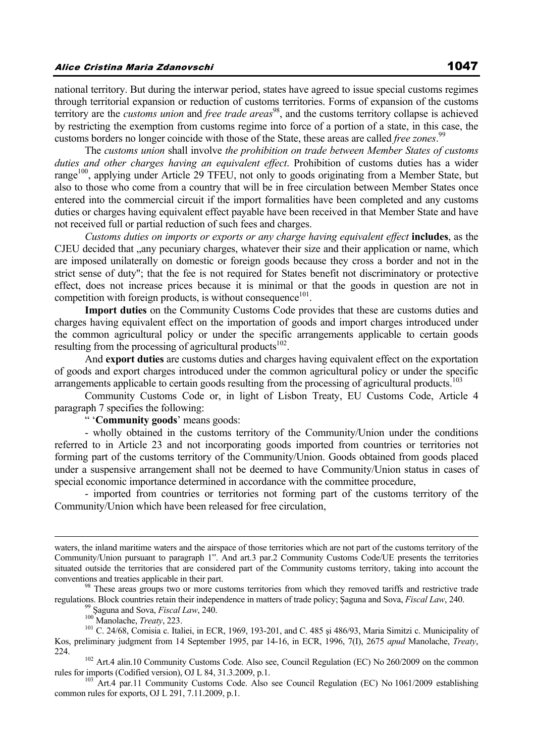national territory. But during the interwar period, states have agreed to issue special customs regimes through territorial expansion or reduction of customs territories. Forms of expansion of the customs territory are the *customs union* and *free trade areas*<sup>98</sup>, and the customs territory collapse is achieved by restricting the exemption from customs regime into force of a portion of a state, in this case, the customs borders no longer coincide with those of the State, these areas are called *free zones*. 99

The *customs union* shall involve *the prohibition on trade between Member States of customs duties and other charges having an equivalent effect*. Prohibition of customs duties has a wider range<sup>100</sup>, applying under Article 29 TFEU, not only to goods originating from a Member State, but also to those who come from a country that will be in free circulation between Member States once entered into the commercial circuit if the import formalities have been completed and any customs duties or charges having equivalent effect payable have been received in that Member State and have not received full or partial reduction of such fees and charges.

*Customs duties on imports or exports or any charge having equivalent effect* **includes**, as the CJEU decided that ..any pecuniary charges, whatever their size and their application or name, which are imposed unilaterally on domestic or foreign goods because they cross a border and not in the strict sense of duty"; that the fee is not required for States benefit not discriminatory or protective effect, does not increase prices because it is minimal or that the goods in question are not in competition with foreign products, is without consequence $101$ .

**Import duties** on the Community Customs Code provides that these are customs duties and charges having equivalent effect on the importation of goods and import charges introduced under the common agricultural policy or under the specific arrangements applicable to certain goods resulting from the processing of agricultural products $102$ .

And **export duties** are customs duties and charges having equivalent effect on the exportation of goods and export charges introduced under the common agricultural policy or under the specific arrangements applicable to certain goods resulting from the processing of agricultural products.<sup>103</sup>

Community Customs Code or, in light of Lisbon Treaty, EU Customs Code, Article 4 paragraph 7 specifies the following:

" '**Community goods**' means goods:

- wholly obtained in the customs territory of the Community/Union under the conditions referred to in Article 23 and not incorporating goods imported from countries or territories not forming part of the customs territory of the Community/Union. Goods obtained from goods placed under a suspensive arrangement shall not be deemed to have Community/Union status in cases of special economic importance determined in accordance with the committee procedure,

- imported from countries or territories not forming part of the customs territory of the Community/Union which have been released for free circulation,

waters, the inland maritime waters and the airspace of those territories which are not part of the customs territory of the Community/Union pursuant to paragraph 1". And art.3 par.2 Community Customs Code/UE presents the territories situated outside the territories that are considered part of the Community customs territory, taking into account the conventions and treaties applicable in their part.<br><sup>98</sup> These areas groups two or more customs territories from which they removed tariffs and restrictive trade

regulations. Block countries retain their independence in matters of trade policy; Saguna and Sova, *Fiscal Law*, 240.<br><sup>99</sup> Saguna and Sova, *Fiscal Law*, 240.<br><sup>100</sup> Manolache, *Treaty*, 223.<br><sup>101</sup> C. 24/68, Comisia c. Ita

Kos, preliminary judgment from 14 September 1995, par 14-16, in ECR, 1996, 7(I), 2675 *apud* Manolache, *Treaty*,

<sup>&</sup>lt;sup>102</sup> Art.4 alin.10 Community Customs Code. Also see, Council Regulation (EC) No 260/2009 on the common rules for imports (Codified version), OJ L 84, 31.3.2009, p.1.

<sup>&</sup>lt;sup>103</sup> Art.4 par.11 Community Customs Code. Also see Council Regulation (EC) No 1061/2009 establishing common rules for exports, OJ L 291, 7.11.2009, p.1.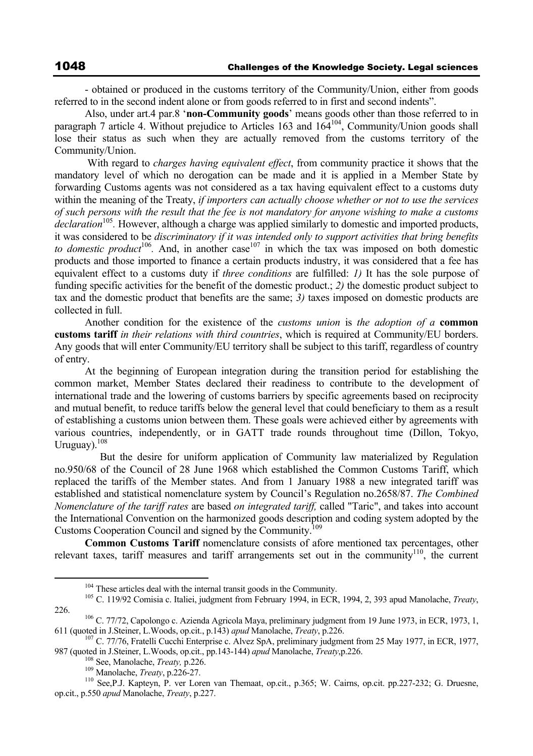- obtained or produced in the customs territory of the Community/Union, either from goods referred to in the second indent alone or from goods referred to in first and second indents".

Also, under art.4 par.8 '**non-Community goods**' means goods other than those referred to in paragraph 7 article 4. Without prejudice to Articles 163 and 164<sup>104</sup>, Community/Union goods shall lose their status as such when they are actually removed from the customs territory of the Community/Union.

 With regard to *charges having equivalent effect*, from community practice it shows that the mandatory level of which no derogation can be made and it is applied in a Member State by forwarding Customs agents was not considered as a tax having equivalent effect to a customs duty within the meaning of the Treaty, *if importers can actually choose whether or not to use the services of such persons with the result that the fee is not mandatory for anyone wishing to make a customs declaration*<sup>105</sup>. However, although a charge was applied similarly to domestic and imported products, it was considered to be *discriminatory if it was intended only to support activities that bring benefits to domestic product*<sup>106</sup>. And, in another case<sup>107</sup> in which the tax was imposed on both domestic products and those imported to finance a certain products industry, it was considered that a fee has equivalent effect to a customs duty if *three conditions* are fulfilled: *1)* It has the sole purpose of funding specific activities for the benefit of the domestic product.; *2)* the domestic product subject to tax and the domestic product that benefits are the same; *3)* taxes imposed on domestic products are collected in full.

Another condition for the existence of the *customs union* is *the adoption of a* **common customs tariff** *in their relations with third countries*, which is required at Community/EU borders. Any goods that will enter Community/EU territory shall be subject to this tariff, regardless of country of entry.

At the beginning of European integration during the transition period for establishing the common market, Member States declared their readiness to contribute to the development of international trade and the lowering of customs barriers by specific agreements based on reciprocity and mutual benefit, to reduce tariffs below the general level that could beneficiary to them as a result of establishing a customs union between them. These goals were achieved either by agreements with various countries, independently, or in GATT trade rounds throughout time (Dillon, Tokyo, Uruguay).<sup>108</sup>

 But the desire for uniform application of Community law materialized by Regulation no.950/68 of the Council of 28 June 1968 which established the Common Customs Tariff, which replaced the tariffs of the Member states. And from 1 January 1988 a new integrated tariff was established and statistical nomenclature system by Council's Regulation no.2658/87. *The Combined Nomenclature of the tariff rates* are based *on integrated tariff,* called "Taric", and takes into account the International Convention on the harmonized goods description and coding system adopted by the Customs Cooperation Council and signed by the Community.109

**Common Customs Tariff** nomenclature consists of afore mentioned tax percentages, other relevant taxes, tariff measures and tariff arrangements set out in the community110, the current

 <sup>104</sup> These articles deal with the internal transit goods in the Community. 105 C. 119/92 Comisia c. Italiei, judgment from February 1994, in ECR, 1994, 2, 393 apud Manolache, *Treaty*, 226. 106 C. 77/72, Capolongo c. Azienda Agricola Maya, preliminary judgment from 19 June 1973, in ECR, 1973, 1,

<sup>611 (</sup>quoted in J.Steiner, L.Woods, op.cit., p.143) *apud* Manolache, *Treaty*, p.226.<br><sup>107</sup> C. 77/76, Fratelli Cucchi Enterprise c. Alvez SpA, preliminary judgment from 25 May 1977, in ECR, 1977,

<sup>987 (</sup>quoted in J.Steiner, L.Woods, op.cit., pp.143-144) *apud* Manolache, *Treaty*, p.226.<br><sup>108</sup> See, Manolache, *Treaty*, p.226.<br><sup>109</sup> Manolache, *Treaty*, p.226-27.<br><sup>110</sup> See, P.J. Kapteyn, P. ver Loren van Themaat, op.c

op.cit., p.550 *apud* Manolache, *Treaty*, p.227.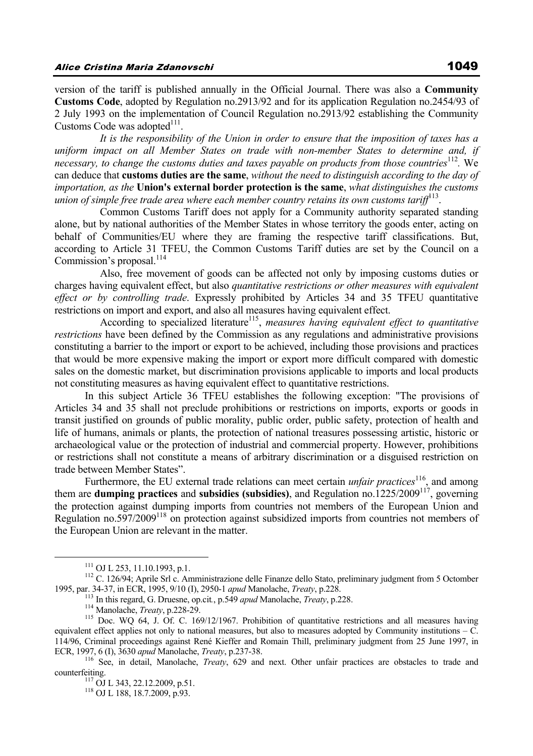version of the tariff is published annually in the Official Journal. There was also a **Community Customs Code**, adopted by Regulation no.2913/92 and for its application Regulation no.2454/93 of 2 July 1993 on the implementation of Council Regulation no.2913/92 establishing the Community Customs Code was adopted<sup>111</sup>.

*It is the responsibility of the Union in order to ensure that the imposition of taxes has a uniform impact on all Member States on trade with non-member States to determine and, if necessary, to change the customs duties and taxes payable on products from those countries*<sup>112</sup>. We can deduce that **customs duties are the same**, *without the need to distinguish according to the day of importation, as the* **Union's external border protection is the same**, *what distinguishes the customs union of simple free trade area where each member country retains its own customs tariff*113.

 Common Customs Tariff does not apply for a Community authority separated standing alone, but by national authorities of the Member States in whose territory the goods enter, acting on behalf of Communities/EU where they are framing the respective tariff classifications. But, according to Article 31 TFEU, the Common Customs Tariff duties are set by the Council on a Commission's proposal. $^{114}$ 

 Also, free movement of goods can be affected not only by imposing customs duties or charges having equivalent effect, but also *quantitative restrictions or other measures with equivalent effect or by controlling trade*. Expressly prohibited by Articles 34 and 35 TFEU quantitative restrictions on import and export, and also all measures having equivalent effect.

According to specialized literature<sup>115</sup>, *measures having equivalent effect to quantitative restrictions* have been defined by the Commission as any regulations and administrative provisions constituting a barrier to the import or export to be achieved, including those provisions and practices that would be more expensive making the import or export more difficult compared with domestic sales on the domestic market, but discrimination provisions applicable to imports and local products not constituting measures as having equivalent effect to quantitative restrictions.

In this subject Article 36 TFEU establishes the following exception: "The provisions of Articles 34 and 35 shall not preclude prohibitions or restrictions on imports, exports or goods in transit justified on grounds of public morality, public order, public safety, protection of health and life of humans, animals or plants, the protection of national treasures possessing artistic, historic or archaeological value or the protection of industrial and commercial property. However, prohibitions or restrictions shall not constitute a means of arbitrary discrimination or a disguised restriction on trade between Member States".

Furthermore, the EU external trade relations can meet certain *unfair practices*<sup>116</sup>, and among them are **dumping practices** and **subsidies (subsidies)**, and Regulation no.1225/2009117, governing the protection against dumping imports from countries not members of the European Union and Regulation no.597/2009118 on protection against subsidized imports from countries not members of the European Union are relevant in the matter.

<sup>&</sup>lt;sup>111</sup> OJ L 253, 11.10.1993, p.1.<br><sup>112</sup> C. 126/94; Aprile Srl c. Amministrazione delle Finanze dello Stato, preliminary judgment from 5 Octomber<br>1995, par. 34-37, in ECR, 1995, 9/10 (I), 2950-1 *apud* Manolache, *Treaty*,

<sup>&</sup>lt;sup>113</sup> In this regard, G. Druesne, op.cit., p.549 *apud* Manolache, *Treaty*, p.228.<br><sup>114</sup> Manolache, *Treaty*, p.228-29.<br><sup>115</sup> Doc. WQ 64, J. Of. C. 169/12/1967. Prohibition of quantitative restrictions and all measures h equivalent effect applies not only to national measures, but also to measures adopted by Community institutions – C. 114/96, Criminal proceedings against René Kieffer and Romain Thill, preliminary judgment from 25 June 1997, in

ECR, 1997, 6 (I), 3630 *apud* Manolache, *Treaty*, p.237-38.<br><sup>116</sup> See, in detail, Manolache, *Treaty*, 629 and next. Other unfair practices are obstacles to trade and counterfeiting.<br><sup>117</sup> OJ L 343, 22.12.2009, p.51.<br><sup>118</sup> OJ L 188, 18.7.2009, p.93.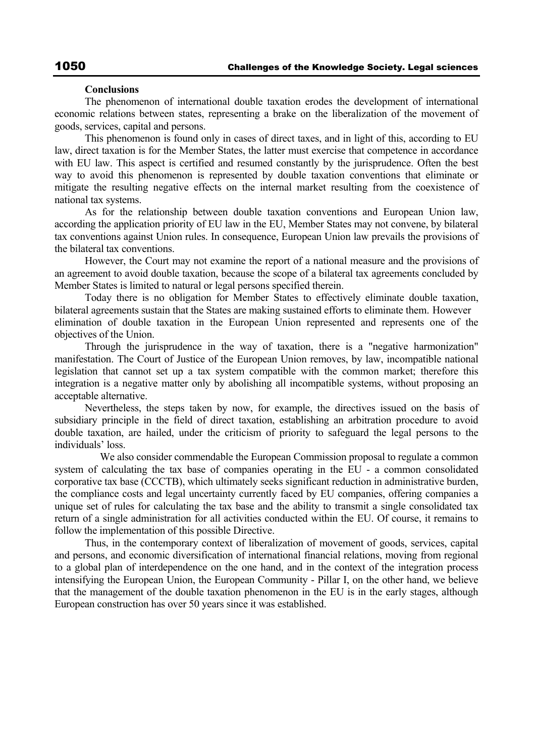#### **Conclusions**

The phenomenon of international double taxation erodes the development of international economic relations between states, representing a brake on the liberalization of the movement of goods, services, capital and persons.

This phenomenon is found only in cases of direct taxes, and in light of this, according to EU law, direct taxation is for the Member States, the latter must exercise that competence in accordance with EU law. This aspect is certified and resumed constantly by the jurisprudence. Often the best way to avoid this phenomenon is represented by double taxation conventions that eliminate or mitigate the resulting negative effects on the internal market resulting from the coexistence of national tax systems.

As for the relationship between double taxation conventions and European Union law, according the application priority of EU law in the EU, Member States may not convene, by bilateral tax conventions against Union rules. In consequence, European Union law prevails the provisions of the bilateral tax conventions.

However, the Court may not examine the report of a national measure and the provisions of an agreement to avoid double taxation, because the scope of a bilateral tax agreements concluded by Member States is limited to natural or legal persons specified therein.

Today there is no obligation for Member States to effectively eliminate double taxation, bilateral agreements sustain that the States are making sustained efforts to eliminate them. However elimination of double taxation in the European Union represented and represents one of the objectives of the Union.

Through the jurisprudence in the way of taxation, there is a "negative harmonization" manifestation. The Court of Justice of the European Union removes, by law, incompatible national legislation that cannot set up a tax system compatible with the common market; therefore this integration is a negative matter only by abolishing all incompatible systems, without proposing an acceptable alternative.

Nevertheless, the steps taken by now, for example, the directives issued on the basis of subsidiary principle in the field of direct taxation, establishing an arbitration procedure to avoid double taxation, are hailed, under the criticism of priority to safeguard the legal persons to the individuals' loss.

 We also consider commendable the European Commission proposal to regulate a common system of calculating the tax base of companies operating in the EU - a common consolidated corporative tax base (CCCTB), which ultimately seeks significant reduction in administrative burden, the compliance costs and legal uncertainty currently faced by EU companies, offering companies a unique set of rules for calculating the tax base and the ability to transmit a single consolidated tax return of a single administration for all activities conducted within the EU. Of course, it remains to follow the implementation of this possible Directive.

Thus, in the contemporary context of liberalization of movement of goods, services, capital and persons, and economic diversification of international financial relations, moving from regional to a global plan of interdependence on the one hand, and in the context of the integration process intensifying the European Union, the European Community - Pillar I, on the other hand, we believe that the management of the double taxation phenomenon in the EU is in the early stages, although European construction has over 50 years since it was established.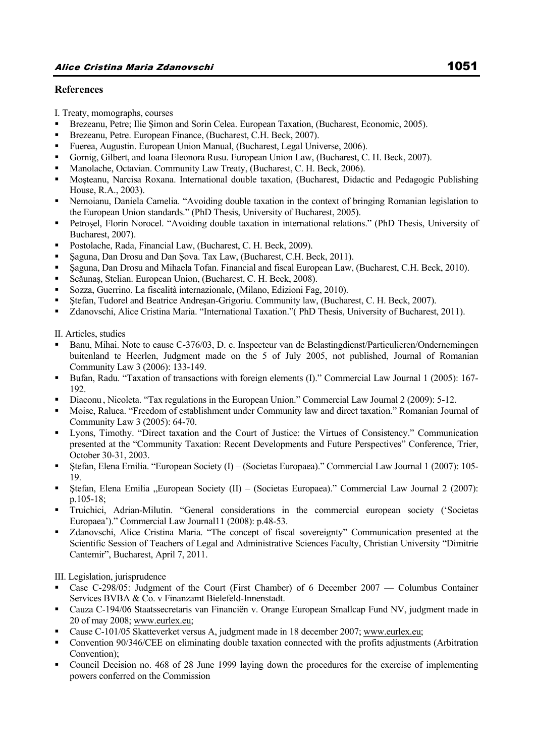## **References**

I. Treaty, momographs, courses

- Brezeanu, Petre; Ilie Şimon and Sorin Celea. European Taxation, (Bucharest, Economic, 2005).
- Brezeanu, Petre. European Finance, (Bucharest, C.H. Beck, 2007).
- Fuerea, Augustin. European Union Manual, (Bucharest, Legal Universe, 2006).
- Gornig, Gilbert, and Ioana Eleonora Rusu. European Union Law, (Bucharest, C. H. Beck, 2007).
- Manolache, Octavian. Community Law Treaty, (Bucharest, C. H. Beck, 2006).
- Moşteanu, Narcisa Roxana. International double taxation, (Bucharest, Didactic and Pedagogic Publishing House, R.A., 2003).
- Nemoianu, Daniela Camelia. "Avoiding double taxation in the context of bringing Romanian legislation to the European Union standards." (PhD Thesis, University of Bucharest, 2005).
- Petroşel, Florin Norocel. "Avoiding double taxation in international relations." (PhD Thesis, University of Bucharest, 2007).
- Postolache, Rada, Financial Law, (Bucharest, C. H. Beck, 2009).
- Şaguna, Dan Drosu and Dan Şova. Tax Law, (Bucharest, C.H. Beck, 2011).
- Şaguna, Dan Drosu and Mihaela Tofan. Financial and fiscal European Law, (Bucharest, C.H. Beck, 2010).
- Scǎunaş, Stelian. European Union, (Bucharest, C. H. Beck, 2008).
- Sozza, Guerrino. La fiscalità internazionale, (Milano, Edizioni Fag, 2010).
- Ştefan, Tudorel and Beatrice Andreşan-Grigoriu. Community law, (Bucharest, C. H. Beck, 2007).
- Zdanovschi, Alice Cristina Maria. "International Taxation."( PhD Thesis, University of Bucharest, 2011).

II. Articles, studies

- Banu, Mihai. Note to cause C-376/03, D. c. Inspecteur van de Belastingdienst/Particulieren/Ondernemingen buitenland te Heerlen, Judgment made on the 5 of July 2005, not published, Journal of Romanian Community Law 3 (2006): 133-149.
- Bufan, Radu. "Taxation of transactions with foreign elements (I)." Commercial Law Journal 1 (2005): 167-192.
- Diaconu , Nicoleta. "Tax regulations in the European Union." Commercial Law Journal 2 (2009): 5-12.
- Moise, Raluca. "Freedom of establishment under Community law and direct taxation." Romanian Journal of Community Law 3 (2005): 64-70.
- Lyons, Timothy. "Direct taxation and the Court of Justice: the Virtues of Consistency." Communication presented at the "Community Taxation: Recent Developments and Future Perspectives" Conference, Trier, October 30-31, 2003.
- Stefan, Elena Emilia. "European Society (I) (Societas Europaea)." Commercial Law Journal 1 (2007): 105-19.
- $\blacktriangleright$  Stefan, Elena Emilia "European Society (II) (Societas Europaea)." Commercial Law Journal 2 (2007): p.105-18;
- Truichici, Adrian-Milutin. "General considerations in the commercial european society ('Societas Europaea')." Commercial Law Journal11 (2008): p.48-53.
- Zdanovschi, Alice Cristina Maria. "The concept of fiscal sovereignty" Communication presented at the Scientific Session of Teachers of Legal and Administrative Sciences Faculty, Christian University "Dimitrie Cantemir", Bucharest, April 7, 2011.

III. Legislation, jurisprudence

- Case C-298/05: Judgment of the Court (First Chamber) of 6 December 2007 Columbus Container Services BVBA & Co. v Finanzamt Bielefeld-Innenstadt.
- Cauza C-194/06 Staatssecretaris van Financiën v. Orange European Smallcap Fund NV, judgment made in 20 of may 2008; www.eurlex.eu;
- Cause C-101/05 Skatteverket versus A, judgment made in 18 december 2007; www.eurlex.eu;
- Convention 90/346/CEE on eliminating double taxation connected with the profits adjustments (Arbitration Convention);
- Council Decision no. 468 of 28 June 1999 laying down the procedures for the exercise of implementing powers conferred on the Commission